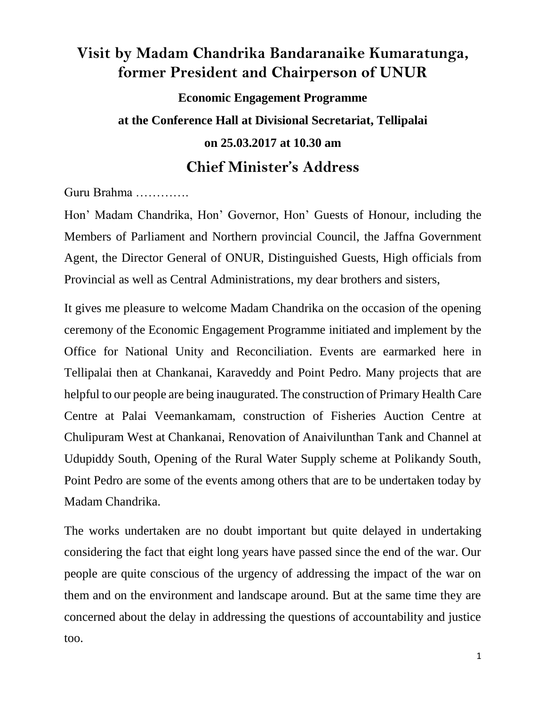## **Visit by Madam Chandrika Bandaranaike Kumaratunga, former President and Chairperson of UNUR**

**Economic Engagement Programme at the Conference Hall at Divisional Secretariat, Tellipalai on 25.03.2017 at 10.30 am Chief Minister's Address**

Guru Brahma ………….

Hon' Madam Chandrika, Hon' Governor, Hon' Guests of Honour, including the Members of Parliament and Northern provincial Council, the Jaffna Government Agent, the Director General of ONUR, Distinguished Guests, High officials from Provincial as well as Central Administrations, my dear brothers and sisters,

It gives me pleasure to welcome Madam Chandrika on the occasion of the opening ceremony of the Economic Engagement Programme initiated and implement by the Office for National Unity and Reconciliation. Events are earmarked here in Tellipalai then at Chankanai, Karaveddy and Point Pedro. Many projects that are helpful to our people are being inaugurated. The construction of Primary Health Care Centre at Palai Veemankamam, construction of Fisheries Auction Centre at Chulipuram West at Chankanai, Renovation of Anaivilunthan Tank and Channel at Udupiddy South, Opening of the Rural Water Supply scheme at Polikandy South, Point Pedro are some of the events among others that are to be undertaken today by Madam Chandrika.

The works undertaken are no doubt important but quite delayed in undertaking considering the fact that eight long years have passed since the end of the war. Our people are quite conscious of the urgency of addressing the impact of the war on them and on the environment and landscape around. But at the same time they are concerned about the delay in addressing the questions of accountability and justice too.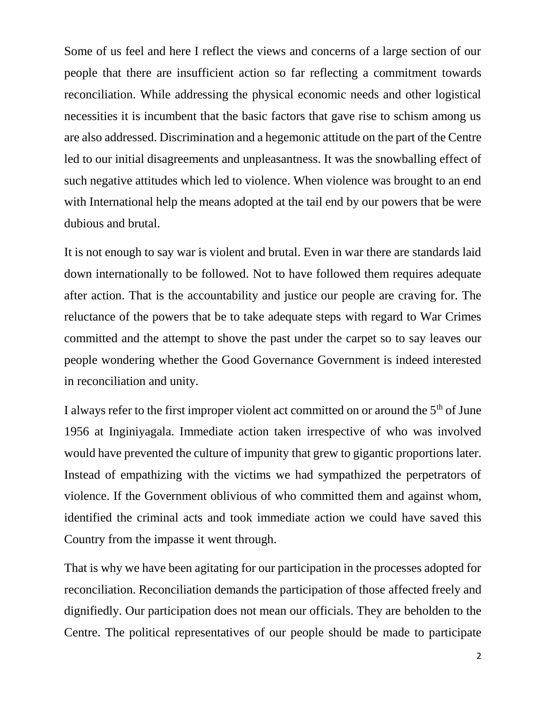Some of us feel and here I reflect the views and concerns of a large section of our people that there are insufficient action so far reflecting a commitment towards reconciliation. While addressing the physical economic needs and other logistical necessities it is incumbent that the basic factors that gave rise to schism among us are also addressed. Discrimination and a hegemonic attitude on the part of the Centre led to our initial disagreements and unpleasantness. It was the snowballing effect of such negative attitudes which led to violence. When violence was brought to an end with International help the means adopted at the tail end by our powers that be were dubious and brutal.

It is not enough to say war is violent and brutal. Even in war there are standards laid down internationally to be followed. Not to have followed them requires adequate after action. That is the accountability and justice our people are craving for. The reluctance of the powers that be to take adequate steps with regard to War Crimes committed and the attempt to shove the past under the carpet so to say leaves our people wondering whether the Good Governance Government is indeed interested in reconciliation and unity.

I always refer to the first improper violent act committed on or around the  $5<sup>th</sup>$  of June 1956 at Inginiyagala. Immediate action taken irrespective of who was involved would have prevented the culture of impunity that grew to gigantic proportions later. Instead of empathizing with the victims we had sympathized the perpetrators of violence. If the Government oblivious of who committed them and against whom, identified the criminal acts and took immediate action we could have saved this Country from the impasse it went through.

That is why we have been agitating for our participation in the processes adopted for reconciliation. Reconciliation demands the participation of those affected freely and dignifiedly. Our participation does not mean our officials. They are beholden to the Centre. The political representatives of our people should be made to participate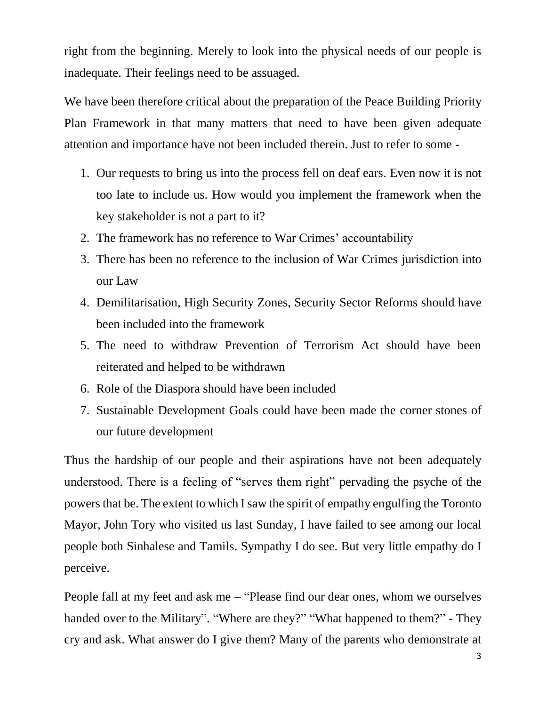right from the beginning. Merely to look into the physical needs of our people is inadequate. Their feelings need to be assuaged.

We have been therefore critical about the preparation of the Peace Building Priority Plan Framework in that many matters that need to have been given adequate attention and importance have not been included therein. Just to refer to some -

- 1. Our requests to bring us into the process fell on deaf ears. Even now it is not too late to include us. How would you implement the framework when the key stakeholder is not a part to it?
- 2. The framework has no reference to War Crimes' accountability
- 3. There has been no reference to the inclusion of War Crimes jurisdiction into our Law
- 4. Demilitarisation, High Security Zones, Security Sector Reforms should have been included into the framework
- 5. The need to withdraw Prevention of Terrorism Act should have been reiterated and helped to be withdrawn
- 6. Role of the Diaspora should have been included
- 7. Sustainable Development Goals could have been made the corner stones of our future development

Thus the hardship of our people and their aspirations have not been adequately understood. There is a feeling of "serves them right" pervading the psyche of the powers that be. The extent to which I saw the spirit of empathy engulfing the Toronto Mayor, John Tory who visited us last Sunday, I have failed to see among our local people both Sinhalese and Tamils. Sympathy I do see. But very little empathy do I perceive.

People fall at my feet and ask me – "Please find our dear ones, whom we ourselves handed over to the Military". "Where are they?" "What happened to them?" - They cry and ask. What answer do I give them? Many of the parents who demonstrate at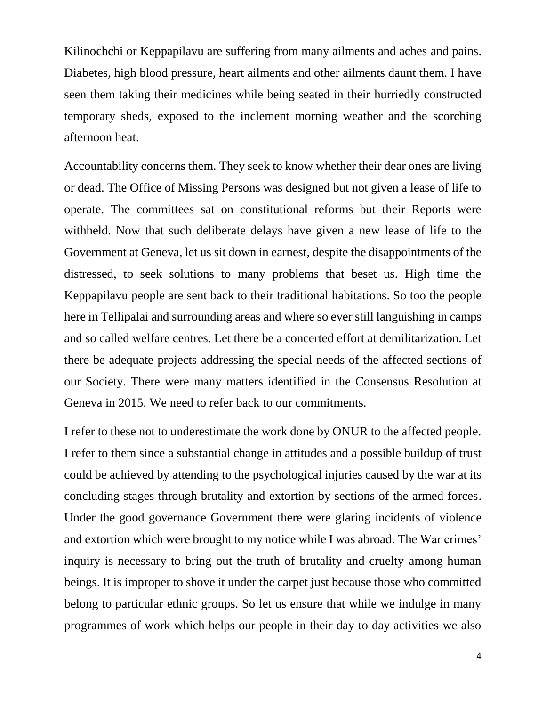Kilinochchi or Keppapilavu are suffering from many ailments and aches and pains. Diabetes, high blood pressure, heart ailments and other ailments daunt them. I have seen them taking their medicines while being seated in their hurriedly constructed temporary sheds, exposed to the inclement morning weather and the scorching afternoon heat.

Accountability concerns them. They seek to know whether their dear ones are living or dead. The Office of Missing Persons was designed but not given a lease of life to operate. The committees sat on constitutional reforms but their Reports were withheld. Now that such deliberate delays have given a new lease of life to the Government at Geneva, let us sit down in earnest, despite the disappointments of the distressed, to seek solutions to many problems that beset us. High time the Keppapilavu people are sent back to their traditional habitations. So too the people here in Tellipalai and surrounding areas and where so ever still languishing in camps and so called welfare centres. Let there be a concerted effort at demilitarization. Let there be adequate projects addressing the special needs of the affected sections of our Society. There were many matters identified in the Consensus Resolution at Geneva in 2015. We need to refer back to our commitments.

I refer to these not to underestimate the work done by ONUR to the affected people. I refer to them since a substantial change in attitudes and a possible buildup of trust could be achieved by attending to the psychological injuries caused by the war at its concluding stages through brutality and extortion by sections of the armed forces. Under the good governance Government there were glaring incidents of violence and extortion which were brought to my notice while I was abroad. The War crimes' inquiry is necessary to bring out the truth of brutality and cruelty among human beings. It is improper to shove it under the carpet just because those who committed belong to particular ethnic groups. So let us ensure that while we indulge in many programmes of work which helps our people in their day to day activities we also